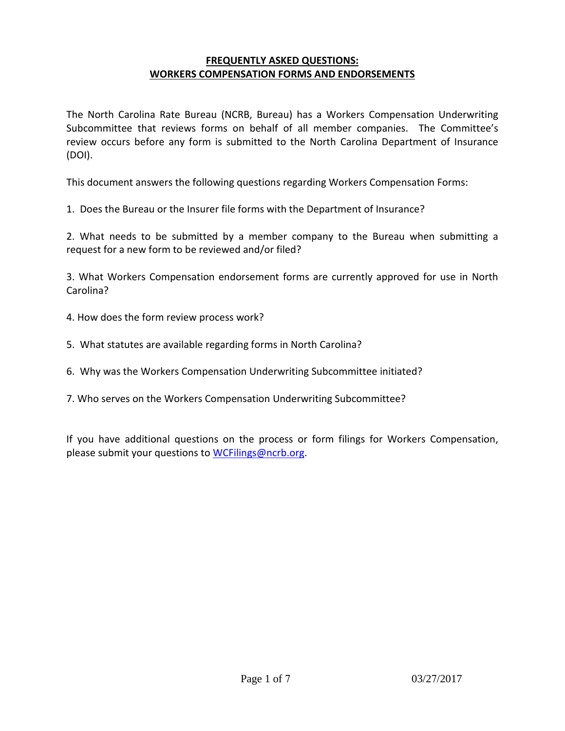### **FREQUENTLY ASKED QUESTIONS: WORKERS COMPENSATION FORMS AND ENDORSEMENTS**

The North Carolina Rate Bureau (NCRB, Bureau) has a Workers Compensation Underwriting Subcommittee that reviews forms on behalf of all member companies. The Committee's review occurs before any form is submitted to the North Carolina Department of Insurance (DOI).

This document answers the following questions regarding Workers Compensation Forms:

1. Does the Bureau or the Insurer file forms with the Department of Insurance?

2. What needs to be submitted by a member company to the Bureau when submitting a request for a new form to be reviewed and/or filed?

3. What Workers Compensation endorsement forms are currently approved for use in North Carolina?

- 4. How does the form review process work?
- 5. What statutes are available regarding forms in North Carolina?
- 6. Why was the Workers Compensation Underwriting Subcommittee initiated?
- 7. Who serves on the Workers Compensation Underwriting Subcommittee?

If you have additional questions on the process or form filings for Workers Compensation, please submit your questions to [WCFilings@ncrb.org.](mailto:WCFilings@ncrb.org)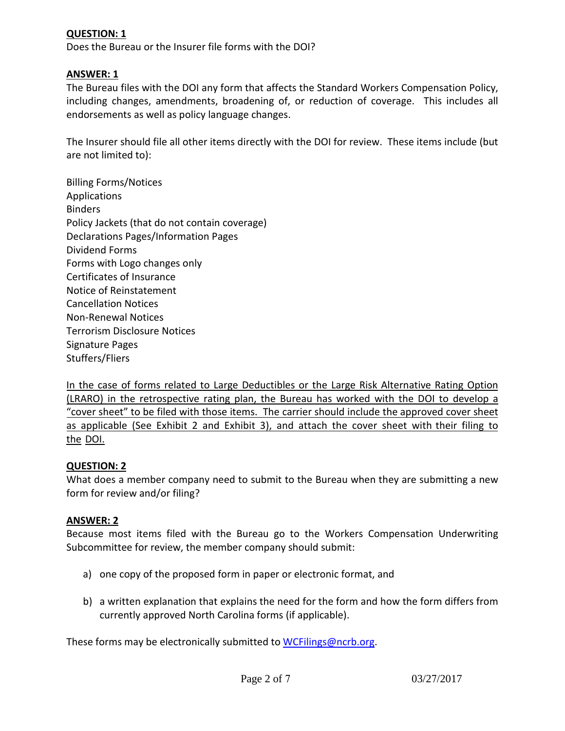## **QUESTION: 1**

Does the Bureau or the Insurer file forms with the DOI?

### **ANSWER: 1**

The Bureau files with the DOI any form that affects the Standard Workers Compensation Policy, including changes, amendments, broadening of, or reduction of coverage. This includes all endorsements as well as policy language changes.

The Insurer should file all other items directly with the DOI for review. These items include (but are not limited to):

Billing Forms/Notices Applications Binders Policy Jackets (that do not contain coverage) Declarations Pages/Information Pages Dividend Forms Forms with Logo changes only Certificates of Insurance Notice of Reinstatement Cancellation Notices Non-Renewal Notices Terrorism Disclosure Notices Signature Pages Stuffers/Fliers

In the case of forms related to Large Deductibles or the Large Risk Alternative Rating Option (LRARO) in the retrospective rating plan, the Bureau has worked with the DOI to develop a "cover sheet" to be filed with those items. The carrier should include the approved cover sheet as applicable (See Exhibit 2 and Exhibit 3), and attach the cover sheet with their filing to the DOI.

#### **QUESTION: 2**

What does a member company need to submit to the Bureau when they are submitting a new form for review and/or filing?

#### **ANSWER: 2**

Because most items filed with the Bureau go to the Workers Compensation Underwriting Subcommittee for review, the member company should submit:

- a) one copy of the proposed form in paper or electronic format, and
- b) a written explanation that explains the need for the form and how the form differs from currently approved North Carolina forms (if applicable).

These forms may be electronically submitted to [WCFilings@ncrb.org.](mailto:WCFilings@ncrb.org)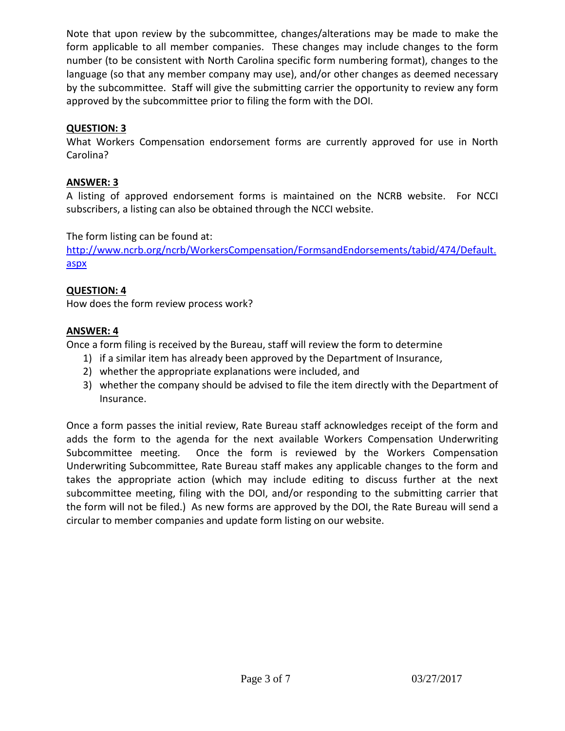Note that upon review by the subcommittee, changes/alterations may be made to make the form applicable to all member companies. These changes may include changes to the form number (to be consistent with North Carolina specific form numbering format), changes to the language (so that any member company may use), and/or other changes as deemed necessary by the subcommittee. Staff will give the submitting carrier the opportunity to review any form approved by the subcommittee prior to filing the form with the DOI.

# **QUESTION: 3**

What Workers Compensation endorsement forms are currently approved for use in North Carolina?

# **ANSWER: 3**

A listing of approved endorsement forms is maintained on the NCRB website. For NCCI subscribers, a listing can also be obtained through the NCCI website.

The form listing can be found at:

[http://www.ncrb.org/ncrb/WorkersCompensation/FormsandEndorsements/tabid/474/Default.](http://www.ncrb.org/ncrb/WorkersCompensation/FormsandEndorsements/tabid/474/Default.aspx) [aspx](http://www.ncrb.org/ncrb/WorkersCompensation/FormsandEndorsements/tabid/474/Default.aspx)

# **QUESTION: 4**

How does the form review process work?

## **ANSWER: 4**

Once a form filing is received by the Bureau, staff will review the form to determine

- 1) if a similar item has already been approved by the Department of Insurance,
- 2) whether the appropriate explanations were included, and
- 3) whether the company should be advised to file the item directly with the Department of Insurance.

Once a form passes the initial review, Rate Bureau staff acknowledges receipt of the form and adds the form to the agenda for the next available Workers Compensation Underwriting Subcommittee meeting. Once the form is reviewed by the Workers Compensation Underwriting Subcommittee, Rate Bureau staff makes any applicable changes to the form and takes the appropriate action (which may include editing to discuss further at the next subcommittee meeting, filing with the DOI, and/or responding to the submitting carrier that the form will not be filed.) As new forms are approved by the DOI, the Rate Bureau will send a circular to member companies and update form listing on our website.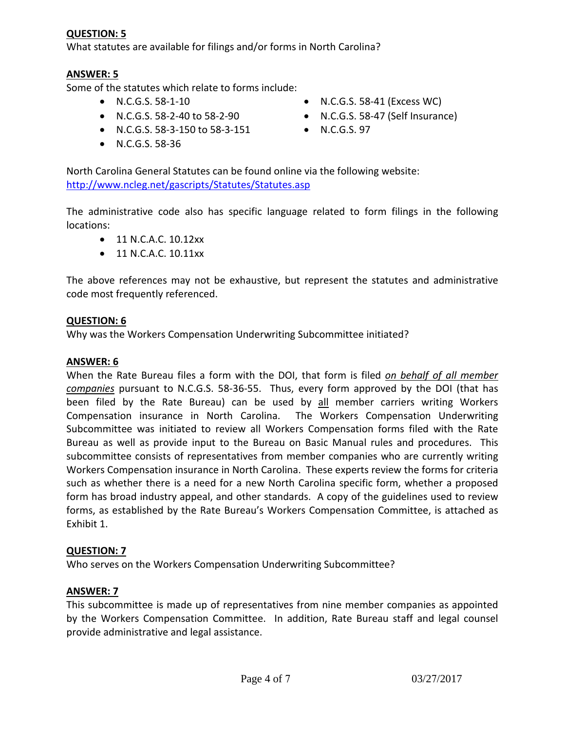### **QUESTION: 5**

What statutes are available for filings and/or forms in North Carolina?

## **ANSWER: 5**

Some of the statutes which relate to forms include:

- 
- 
- N.C.G.S. 58-3-150 to 58-3-151 N.C.G.S. 97
- N.C.G.S. 58-36
- N.C.G.S. 58-1-10 N.C.G.S. 58-41 (Excess WC)
- N.C.G.S. 58-2-40 to 58-2-90 N.C.G.S. 58-47 (Self Insurance)
	-

North Carolina General Statutes can be found online via the following website: <http://www.ncleg.net/gascripts/Statutes/Statutes.asp>

The administrative code also has specific language related to form filings in the following locations:

- 11 N.C.A.C. 10.12xx
- 11 N.C.A.C. 10.11xx

The above references may not be exhaustive, but represent the statutes and administrative code most frequently referenced.

#### **QUESTION: 6**

Why was the Workers Compensation Underwriting Subcommittee initiated?

#### **ANSWER: 6**

When the Rate Bureau files a form with the DOI, that form is filed *on behalf of all member companies* pursuant to N.C.G.S. 58-36-55. Thus, every form approved by the DOI (that has been filed by the Rate Bureau) can be used by all member carriers writing Workers Compensation insurance in North Carolina. The Workers Compensation Underwriting Subcommittee was initiated to review all Workers Compensation forms filed with the Rate Bureau as well as provide input to the Bureau on Basic Manual rules and procedures. This subcommittee consists of representatives from member companies who are currently writing Workers Compensation insurance in North Carolina. These experts review the forms for criteria such as whether there is a need for a new North Carolina specific form, whether a proposed form has broad industry appeal, and other standards. A copy of the guidelines used to review forms, as established by the Rate Bureau's Workers Compensation Committee, is attached as Exhibit 1.

### **QUESTION: 7**

Who serves on the Workers Compensation Underwriting Subcommittee?

#### **ANSWER: 7**

This subcommittee is made up of representatives from nine member companies as appointed by the Workers Compensation Committee. In addition, Rate Bureau staff and legal counsel provide administrative and legal assistance.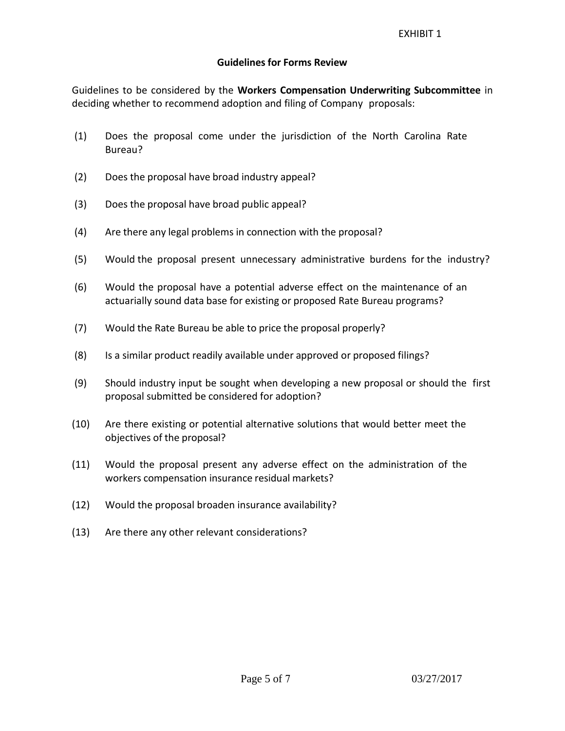### **Guidelines for Forms Review**

Guidelines to be considered by the **Workers Compensation Underwriting Subcommittee** in deciding whether to recommend adoption and filing of Company proposals:

- (1) Does the proposal come under the jurisdiction of the North Carolina Rate Bureau?
- (2) Does the proposal have broad industry appeal?
- (3) Does the proposal have broad public appeal?
- (4) Are there any legal problems in connection with the proposal?
- (5) Would the proposal present unnecessary administrative burdens for the industry?
- (6) Would the proposal have a potential adverse effect on the maintenance of an actuarially sound data base for existing or proposed Rate Bureau programs?
- (7) Would the Rate Bureau be able to price the proposal properly?
- (8) Is a similar product readily available under approved or proposed filings?
- (9) Should industry input be sought when developing a new proposal or should the first proposal submitted be considered for adoption?
- (10) Are there existing or potential alternative solutions that would better meet the objectives of the proposal?
- (11) Would the proposal present any adverse effect on the administration of the workers compensation insurance residual markets?
- (12) Would the proposal broaden insurance availability?
- (13) Are there any other relevant considerations?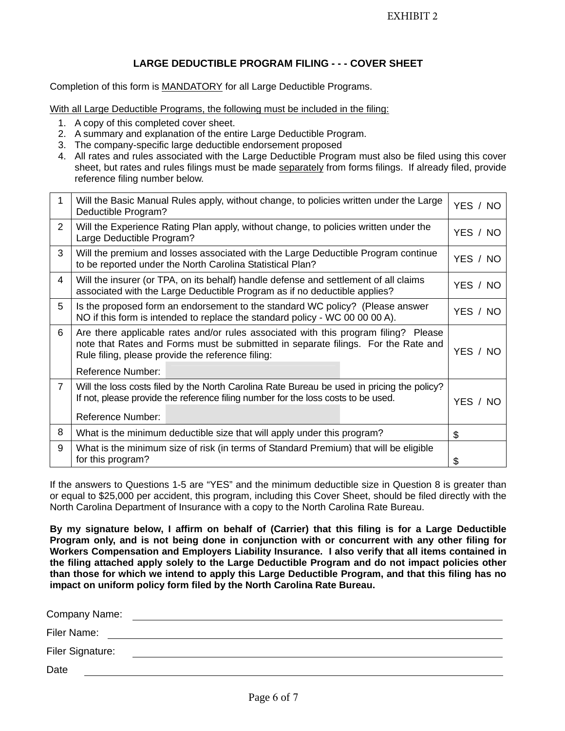### **LARGE DEDUCTIBLE PROGRAM FILING - - - COVER SHEET**

Completion of this form is MANDATORY for all Large Deductible Programs.

With all Large Deductible Programs, the following must be included in the filing:

- 1. A copy of this completed cover sheet.
- 2. A summary and explanation of the entire Large Deductible Program.
- 3. The company-specific large deductible endorsement proposed
- 4. All rates and rules associated with the Large Deductible Program must also be filed using this cover sheet, but rates and rules filings must be made separately from forms filings. If already filed, provide reference filing number below.

| 1              | Will the Basic Manual Rules apply, without change, to policies written under the Large<br>Deductible Program?                                                                                                                 |          |  |
|----------------|-------------------------------------------------------------------------------------------------------------------------------------------------------------------------------------------------------------------------------|----------|--|
| 2              | Will the Experience Rating Plan apply, without change, to policies written under the<br>Large Deductible Program?                                                                                                             |          |  |
| 3              | Will the premium and losses associated with the Large Deductible Program continue<br>to be reported under the North Carolina Statistical Plan?                                                                                |          |  |
| 4              | Will the insurer (or TPA, on its behalf) handle defense and settlement of all claims<br>associated with the Large Deductible Program as if no deductible applies?                                                             |          |  |
| 5              | Is the proposed form an endorsement to the standard WC policy? (Please answer<br>NO if this form is intended to replace the standard policy - WC 00 00 00 A).                                                                 |          |  |
| 6              | Are there applicable rates and/or rules associated with this program filing? Please<br>note that Rates and Forms must be submitted in separate filings. For the Rate and<br>Rule filing, please provide the reference filing: |          |  |
|                | <b>Reference Number:</b>                                                                                                                                                                                                      |          |  |
| $\overline{7}$ | Will the loss costs filed by the North Carolina Rate Bureau be used in pricing the policy?<br>If not, please provide the reference filing number for the loss costs to be used.<br>Reference Number:                          | YES / NO |  |
| 8              | What is the minimum deductible size that will apply under this program?                                                                                                                                                       |          |  |
| 9              | What is the minimum size of risk (in terms of Standard Premium) that will be eligible<br>for this program?                                                                                                                    |          |  |

If the answers to Questions 1-5 are "YES" and the minimum deductible size in Question 8 is greater than or equal to \$25,000 per accident, this program, including this Cover Sheet, should be filed directly with the North Carolina Department of Insurance with a copy to the North Carolina Rate Bureau.

**By my signature below, I affirm on behalf of (Carrier) that this filing is for a Large Deductible Program only, and is not being done in conjunction with or concurrent with any other filing for Workers Compensation and Employers Liability Insurance. I also verify that all items contained in the filing attached apply solely to the Large Deductible Program and do not impact policies other than those for which we intend to apply this Large Deductible Program, and that this filing has no impact on uniform policy form filed by the North Carolina Rate Bureau.** 

| Company Name:    |  |  |  |
|------------------|--|--|--|
| Filer Name:      |  |  |  |
| Filer Signature: |  |  |  |
| Date             |  |  |  |